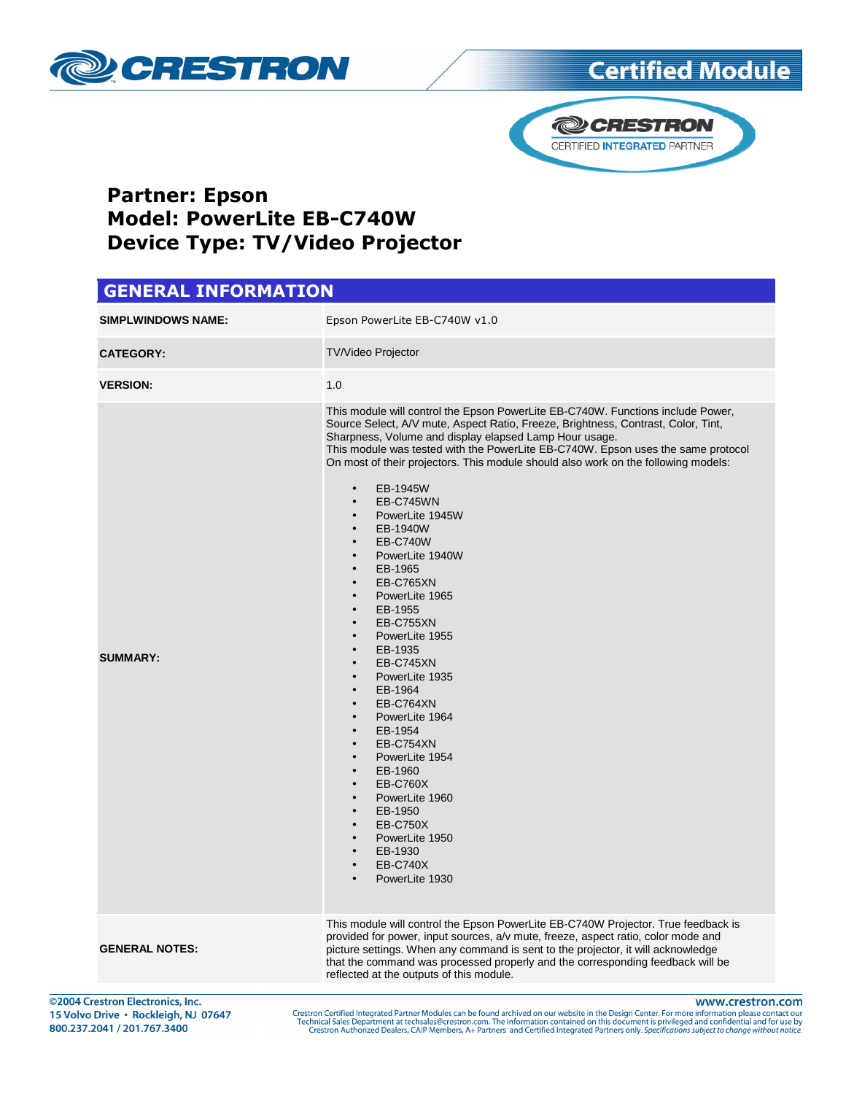



#### Partner: Epson Model: PowerLite EB-C740W Device Type: TV/Video Projector

#### GENERAL INFORMATION **SIMPLWINDOWS NAME:** Epson PowerLite EB-C740W v1.0 **CATEGORY:** TV/Video Projector **VERSION:** 1.0 **SUMMARY:** This module will control the Epson PowerLite EB-C740W. Functions include Power, Source Select, A/V mute, Aspect Ratio, Freeze, Brightness, Contrast, Color, Tint, Sharpness, Volume and display elapsed Lamp Hour usage. This module was tested with the PowerLite EB-C740W. Epson uses the same protocol On most of their projectors. This module should also work on the following models: • EB-1945W • EB-C745WN PowerLite 1945W • EB-1940W • EB-C740W PowerLite 1940W • EB-1965 • EB-C765XN PowerLite 1965 • EB-1955 **EB-C755XN** • PowerLite 1955 • EB-1935 EB-C745XN PowerLite 1935 • EB-1964 EB-C764XN PowerLite 1964 • EB-1954 EB-C754XN PowerLite 1954 • EB-1960 • EB-C760X PowerLite 1960 • EB-1950 • EB-C750X PowerLite 1950 • EB-1930 • EB-C740X PowerLite 1930

This module will control the Epson PowerLite EB-C740W Projector. True feedback is provided for power, input sources, a/v mute, freeze, aspect ratio, color mode and picture settings. When any command is sent to the projector, it will acknowledge that the command was processed properly and the corresponding feedback will be reflected at the outputs of this module.

©2004 Crestron Electronics, Inc. 15 Volvo Drive · Rockleigh, NJ 07647 800.237.2041 / 201.767.3400

**GENERAL NOTES:**

www.crestron.com

Crestron Certified Integrated Partner Modules can be found archived on our website in the Design Center. For more information please contact our Technical Sales Department at techsales@crestron.com. The information contain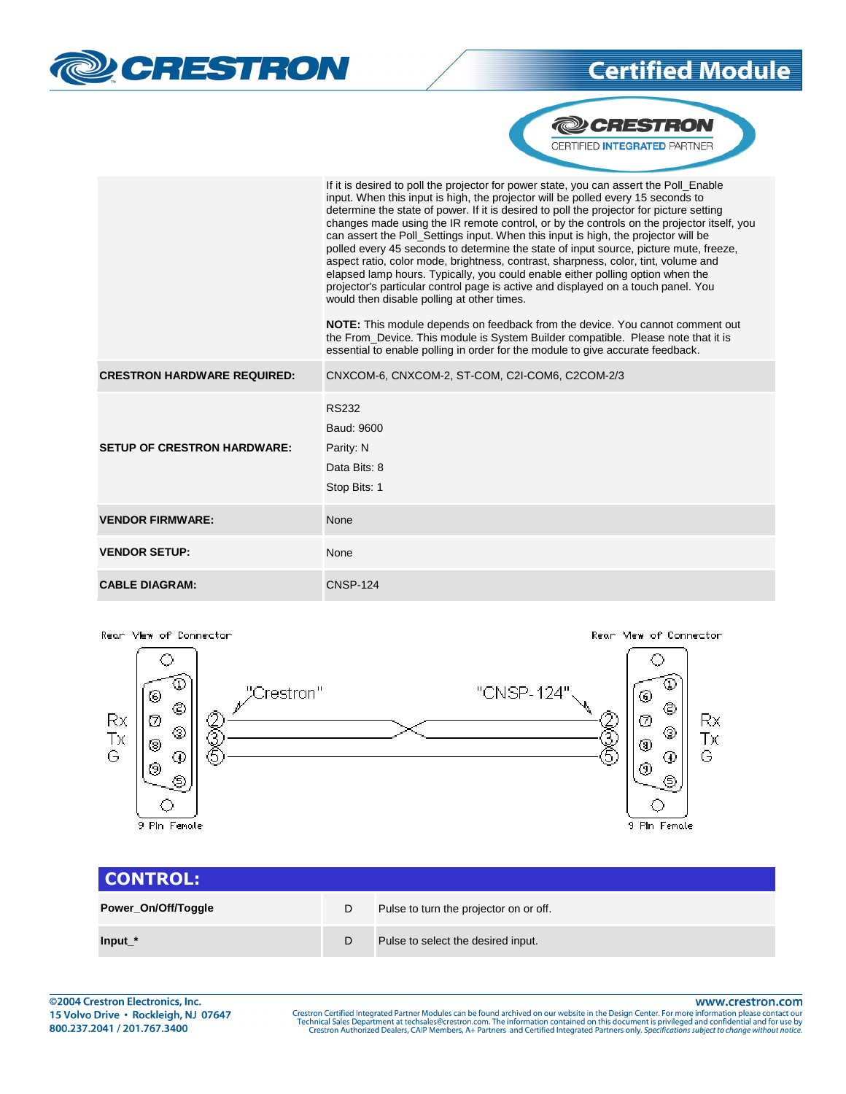



|                                    | If it is desired to poll the projector for power state, you can assert the Poll Enable<br>input. When this input is high, the projector will be polled every 15 seconds to<br>determine the state of power. If it is desired to poll the projector for picture setting<br>changes made using the IR remote control, or by the controls on the projector itself, you<br>can assert the Poll Settings input. When this input is high, the projector will be<br>polled every 45 seconds to determine the state of input source, picture mute, freeze,<br>aspect ratio, color mode, brightness, contrast, sharpness, color, tint, volume and<br>elapsed lamp hours. Typically, you could enable either polling option when the<br>projector's particular control page is active and displayed on a touch panel. You<br>would then disable polling at other times.<br><b>NOTE:</b> This module depends on feedback from the device. You cannot comment out<br>the From Device. This module is System Builder compatible. Please note that it is<br>essential to enable polling in order for the module to give accurate feedback. |
|------------------------------------|------------------------------------------------------------------------------------------------------------------------------------------------------------------------------------------------------------------------------------------------------------------------------------------------------------------------------------------------------------------------------------------------------------------------------------------------------------------------------------------------------------------------------------------------------------------------------------------------------------------------------------------------------------------------------------------------------------------------------------------------------------------------------------------------------------------------------------------------------------------------------------------------------------------------------------------------------------------------------------------------------------------------------------------------------------------------------------------------------------------------------|
| <b>CRESTRON HARDWARE REQUIRED:</b> | CNXCOM-6, CNXCOM-2, ST-COM, C2I-COM6, C2COM-2/3                                                                                                                                                                                                                                                                                                                                                                                                                                                                                                                                                                                                                                                                                                                                                                                                                                                                                                                                                                                                                                                                              |
| <b>SETUP OF CRESTRON HARDWARE:</b> | <b>RS232</b><br>Baud: 9600<br>Parity: N<br>Data Bits: 8<br>Stop Bits: 1                                                                                                                                                                                                                                                                                                                                                                                                                                                                                                                                                                                                                                                                                                                                                                                                                                                                                                                                                                                                                                                      |
| <b>VENDOR FIRMWARE:</b>            | None                                                                                                                                                                                                                                                                                                                                                                                                                                                                                                                                                                                                                                                                                                                                                                                                                                                                                                                                                                                                                                                                                                                         |
| <b>VENDOR SETUP:</b>               | None                                                                                                                                                                                                                                                                                                                                                                                                                                                                                                                                                                                                                                                                                                                                                                                                                                                                                                                                                                                                                                                                                                                         |
| <b>CABLE DIAGRAM:</b>              | <b>CNSP-124</b>                                                                                                                                                                                                                                                                                                                                                                                                                                                                                                                                                                                                                                                                                                                                                                                                                                                                                                                                                                                                                                                                                                              |



| CONTROL:            |   |                                        |
|---------------------|---|----------------------------------------|
| Power_On/Off/Toggle | D | Pulse to turn the projector on or off. |
| $Input*$            | D | Pulse to select the desired input.     |

www.crestron.com

Crestron Certified Integrated Partner Modules can be found archived on our website in the Design Center. For more information please contact our Technical Sales Department at techsales@crestron.com. The information contain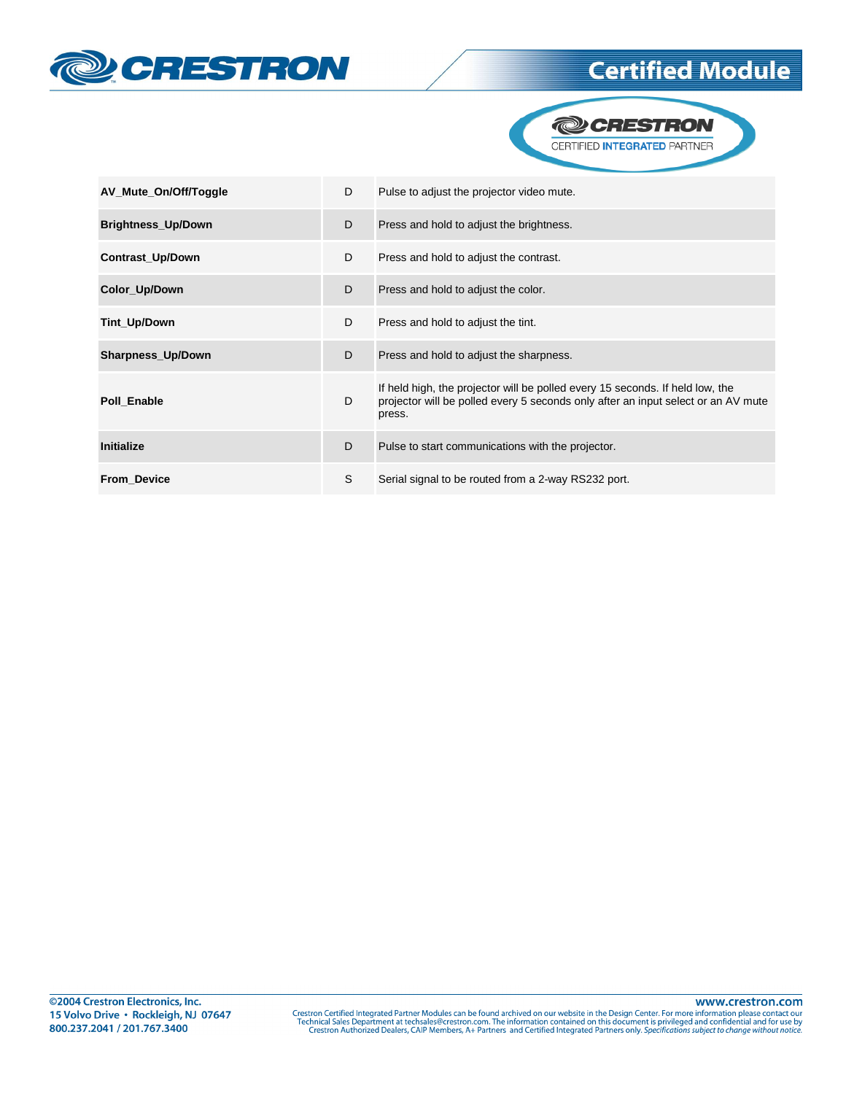



| AV_Mute_On/Off/Toggle     | D | Pulse to adjust the projector video mute.                                                                                                                                    |
|---------------------------|---|------------------------------------------------------------------------------------------------------------------------------------------------------------------------------|
| <b>Brightness_Up/Down</b> | D | Press and hold to adjust the brightness.                                                                                                                                     |
| Contrast_Up/Down          | D | Press and hold to adjust the contrast.                                                                                                                                       |
| Color_Up/Down             | D | Press and hold to adjust the color.                                                                                                                                          |
| Tint_Up/Down              | D | Press and hold to adjust the tint.                                                                                                                                           |
| Sharpness_Up/Down         | D | Press and hold to adjust the sharpness.                                                                                                                                      |
| Poll Enable               | D | If held high, the projector will be polled every 15 seconds. If held low, the<br>projector will be polled every 5 seconds only after an input select or an AV mute<br>press. |
| <b>Initialize</b>         | D | Pulse to start communications with the projector.                                                                                                                            |
| <b>From Device</b>        | S | Serial signal to be routed from a 2-way RS232 port.                                                                                                                          |

www.crestron.com Crestron Certified Integrated Partner Modules can be found archived on our website in the Design Center. For more information please contact our Technical Sales Department at techsales@crestron.com. The information contain